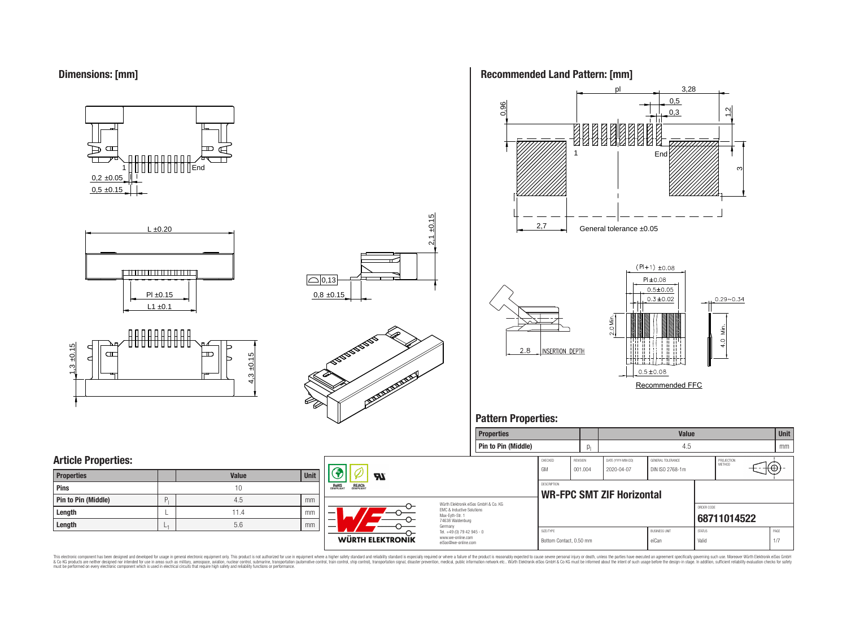

















## **Pattern Properties:**

|                            |              |      |                                          |                                                                        | Properties                           |                                      |          |                           | <b>Value</b>                  |                        |                      | I Unit          |  |
|----------------------------|--------------|------|------------------------------------------|------------------------------------------------------------------------|--------------------------------------|--------------------------------------|----------|---------------------------|-------------------------------|------------------------|----------------------|-----------------|--|
|                            |              |      |                                          |                                                                        | Pin to Pin (Middle)                  |                                      |          |                           | 4.5                           |                        |                      | mm              |  |
| <b>Article Properties:</b> |              |      |                                          |                                                                        |                                      | CHECKED                              | REVISION | DATE (YYYY-MM-DD)         | GENERAL TOLERANCE             |                        | PROJECTION<br>METHOD |                 |  |
| <b>Properties</b>          | <b>Value</b> | Unit | H                                        |                                                                        |                                      | GM                                   | 001.004  | 2020-04-07                | DIN ISO 2768-1m               |                        |                      | $+\circledcirc$ |  |
| <b>Pins</b>                |              |      | <b>ROHS</b><br><b>REACH</b><br>COMPLIANT |                                                                        |                                      | DESCRIPTION                          |          | WR-FPC SMT ZIF Horizontal |                               |                        |                      |                 |  |
| Pin to Pin (Middle)        | 4.5          | mm   |                                          |                                                                        | Würth Elektronik eiSos GmbH & Co. KG |                                      |          |                           |                               |                        |                      |                 |  |
| Length                     | 11.4         | mm   | — 1                                      | EMC & Inductive Solutions<br>Max-Eyth-Str. 1                           |                                      |                                      |          |                           |                               | ORDER CODE             | 68711014522          |                 |  |
| Length                     | 5.6          | mm   |                                          | 74638 Waldenburg<br>Germany                                            |                                      |                                      |          |                           |                               |                        |                      |                 |  |
|                            |              |      | WÜRTH ELEKTRONIK                         | Tel. +49 (0) 79 42 945 - 0<br>www.we-online.com<br>eiSos@we-online.com |                                      | SIZE/TYPE<br>Bottom Contact, 0.50 mm |          |                           | <b>BUSINESS UNIT</b><br>eiCan | <b>STATUS</b><br>Valid |                      | PAGE            |  |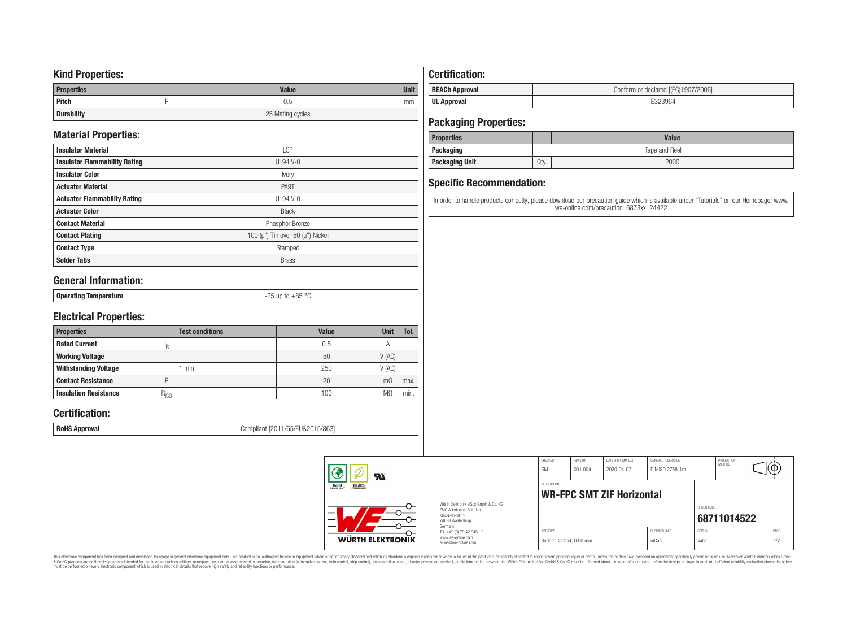### **Kind Properties:**

| <b>Properties</b> |                  | <b>Value</b> | <b>Unit</b> |  |
|-------------------|------------------|--------------|-------------|--|
| <b>Pitch</b>      |                  | 0.5          | mm          |  |
| <b>Durability</b> | 25 Mating cycles |              |             |  |

## **Material Properties:**

| <b>Insulator Material</b>            | <b>LCP</b>                                   |
|--------------------------------------|----------------------------------------------|
| <b>Insulator Flammability Rating</b> | $UL94V-0$                                    |
| <b>Insulator Color</b>               | Ivory                                        |
| <b>Actuator Material</b>             | PA9T                                         |
| <b>Actuator Flammability Rating</b>  | UL94 V-0                                     |
| <b>Actuator Color</b>                | <b>Black</b>                                 |
| <b>Contact Material</b>              | Phosphor Bronze                              |
| <b>Contact Plating</b>               | 100 ( $\mu$ ") Tin over 50 ( $\mu$ ") Nickel |
| <b>Contact Type</b>                  | Stamped                                      |
| <b>Solder Tabs</b>                   | <b>Brass</b>                                 |

## **General Information:**

| Onerating<br>  oporuunig<br>$-$ - $-$ - $-$ | $\circ$<br>0E.<br>ח ר<br>$ -$<br>. |
|---------------------------------------------|------------------------------------|

## **Electrical Properties:**

| <b>Properties</b>            |           | <b>Test conditions</b> | <b>Value</b> | Unit           | Tol. |
|------------------------------|-----------|------------------------|--------------|----------------|------|
| <b>Rated Current</b>         | םו        |                        | 0.5          | $\overline{A}$ |      |
| <b>Working Voltage</b>       |           |                        | 50           | V(AC)          |      |
| <b>Withstanding Voltage</b>  |           | min                    | 250          | V(AC)          |      |
| <b>Contact Resistance</b>    | R         |                        | 20           | $m\Omega$      | max. |
| <b>Insulation Resistance</b> | $R_{ISO}$ |                        | 100          | M <sub>2</sub> | min. |

## **Certification:**

**RoHS Approval RoHS Approval Compliant** [2011/65/EU&2015/863]

## **Certification:**

| <b>REACh Approval</b> | Conform or declared [(EC)1907/2006] |  |  |  |  |
|-----------------------|-------------------------------------|--|--|--|--|
| <b>UL Approval</b>    |                                     |  |  |  |  |

## **Packaging Properties:**

| <b>Properties</b>     |      | <b>Value</b>  |
|-----------------------|------|---------------|
| Packaging             |      | Tape and Reel |
| <b>Packaging Unit</b> | Qty. | 2000          |

## **Specific Recommendation:**

In order to handle products correctly, please download our precaution guide which is available under "Tutorials" on our Homepage: www. we-online.com/precaution\_6873xx124422

| Яľ                                                    |                                                                                                                     | CHECKED<br>GM                        | <b>REVISION</b><br>001.004 | DATE (YYYY-MM-DD)<br>2020-04-07  | GENERAL TOLERANCE<br>DIN ISO 2768-1m |                        | PROJECTION<br><b>METHOD</b> | ₩Φ,         |
|-------------------------------------------------------|---------------------------------------------------------------------------------------------------------------------|--------------------------------------|----------------------------|----------------------------------|--------------------------------------|------------------------|-----------------------------|-------------|
| <b>REACH</b><br>COMPLIANT<br><b>ROHS</b><br>COMPLIANT |                                                                                                                     | <b>DESCRIPTION</b>                   |                            | <b>WR-FPC SMT ZIF Horizontal</b> |                                      |                        |                             |             |
| _                                                     | Würth Flektronik eiSos GmbH & Co. KG<br>EMC & Inductive Solutions<br>Max-Evth-Str. 1<br>74638 Waldenburg<br>Germany |                                      |                            |                                  |                                      | ORDER CODE             | 68711014522                 |             |
| WÜRTH ELEKTRONIK                                      | Tel. +49 (0) 79 42 945 - 0<br>www.we-online.com<br>eiSos@we-online.com                                              | SIZE/TYPE<br>Bottom Contact, 0.50 mm |                            |                                  | <b>BUSINESS UNIT</b><br>eiCan        | <b>STATUS</b><br>Valid |                             | PAGE<br>2/7 |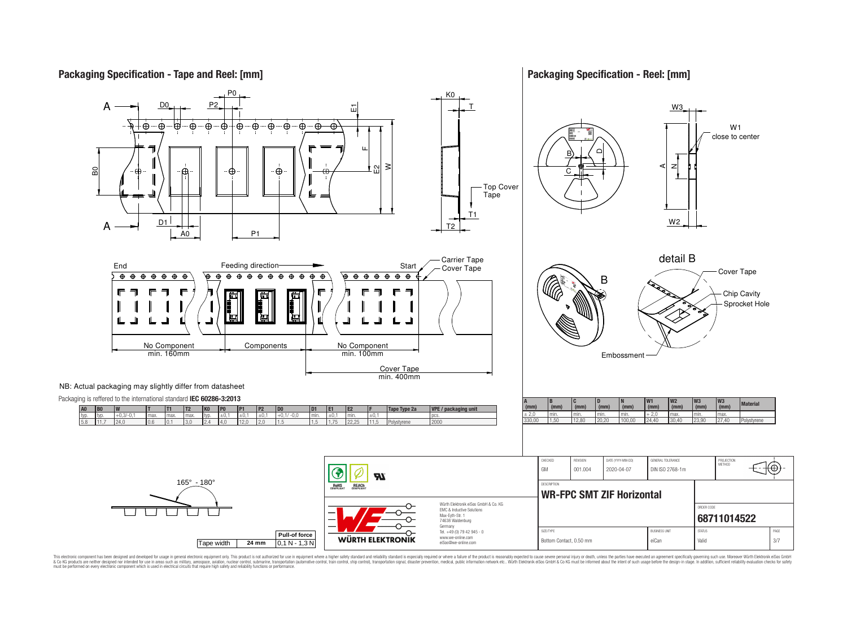

**Packaging Specification - Reel: [mm]**



This electronic component has been designed and developed for usage in general electronic equipment only. This product is not authorized for use in equipment where a higher safely standard and reliability standard si espec & Ook product a label and the membed of the seasuch as marked and as which such a membed and the such assume that income in the seasuch and the simulation and the such assume that include to the such a membed and the such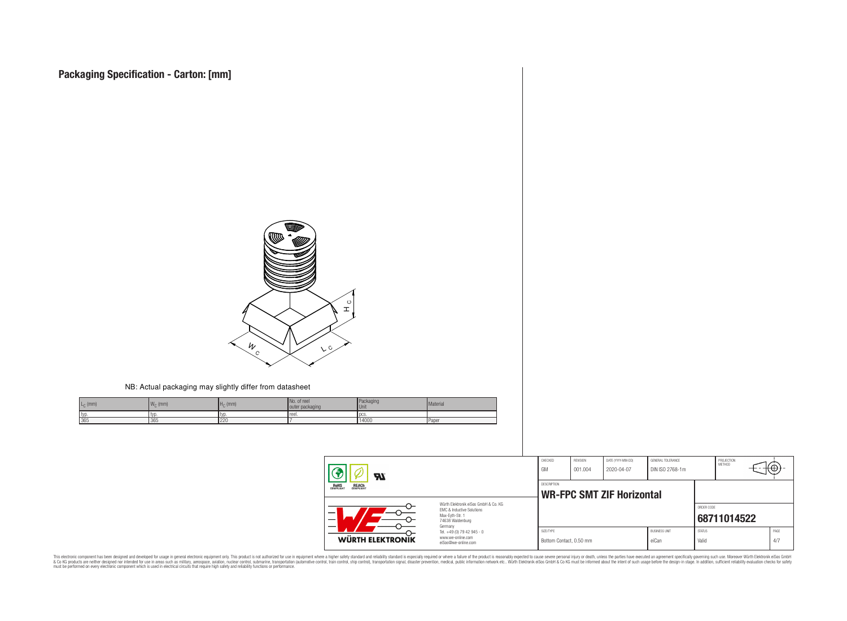

#### NB: Actual packaging may slightly differ from datasheet

| $L_{C}$ (mm) | <b>IM</b><br>$W_{\cap}$ (mm) | $H0$ (mm) | No. of reel<br>outer packaging | Packaging<br><b>Unit</b> | Material     |
|--------------|------------------------------|-----------|--------------------------------|--------------------------|--------------|
| typ.         | 1 LV L                       | ' IVL     | reel.                          | l DCS.                   |              |
| 365          | 365                          | 220       |                                | 14000                    | <b>Paper</b> |

| $\boldsymbol{\mathcal{H}}$                     |                                                                                                                     | CHECKED<br>GM                        | <b>REVISION</b><br>001.004 | DATE (YYYY-MM-DD)<br>2020-04-07 | GENERAL TOLERANCE<br>DIN ISO 2768-1m |                        | PROJECTION<br><b>METHOD</b> | ≖₩,         |
|------------------------------------------------|---------------------------------------------------------------------------------------------------------------------|--------------------------------------|----------------------------|---------------------------------|--------------------------------------|------------------------|-----------------------------|-------------|
| <b>ROHS</b><br>COMPLIANT<br>REACH<br>COMPLIANT | <b>DESCRIPTION</b><br><b>WR-FPC SMT ZIF Horizontal</b>                                                              |                                      |                            |                                 |                                      |                        |                             |             |
|                                                | Würth Elektronik eiSos GmbH & Co. KG<br>EMC & Inductive Solutions<br>Max-Evth-Str. 1<br>74638 Waldenburg<br>Germany |                                      |                            |                                 |                                      | ORDER CODE             | 68711014522                 |             |
| WÜRTH ELEKTRONIK                               | Tel. +49 (0) 79 42 945 - 0<br>www.we-online.com<br>eiSos@we-online.com                                              | SIZE/TYPE<br>Bottom Contact, 0.50 mm |                            |                                 | <b>BUSINESS UNIT</b><br>eiCan        | <b>STATUS</b><br>Valid |                             | PAGE<br>4/7 |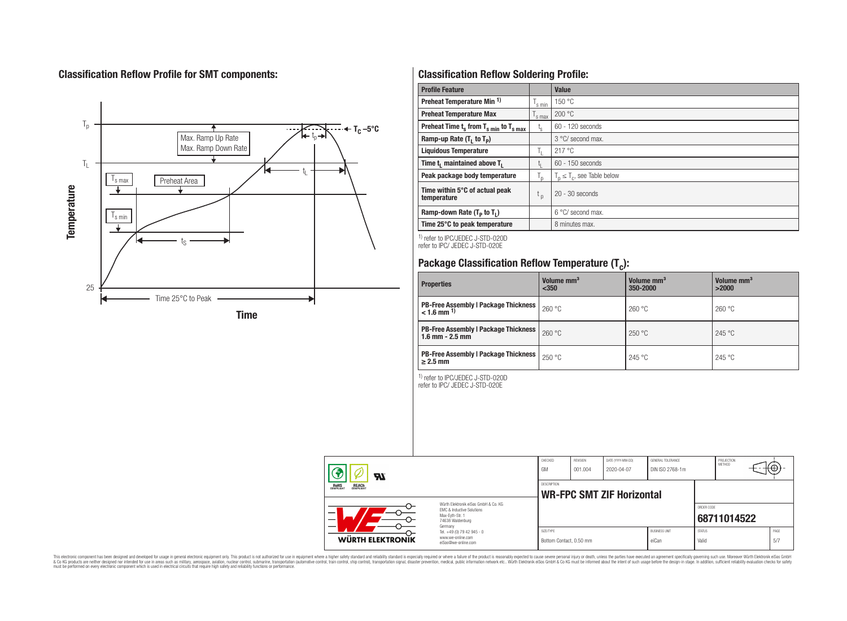## **Classification Reflow Profile for SMT components:**



## **Classification Reflow Soldering Profile:**

| <b>Profile Feature</b>                              |                    | Value                            |
|-----------------------------------------------------|--------------------|----------------------------------|
| Preheat Temperature Min <sup>1)</sup>               | <sup>I</sup> s min | 150 °C                           |
| <b>Preheat Temperature Max</b>                      | 's max             | 200 °C                           |
| Preheat Time $t_s$ from $T_{s,min}$ to $T_{s,max}$  | $t_{\rm s}$        | $60 - 120$ seconds               |
| Ramp-up Rate $(T_1$ to $T_p$ )                      |                    | 3 °C/ second max.                |
| <b>Liquidous Temperature</b>                        | Ь.                 | 217 °C                           |
| Time t <sub>1</sub> maintained above T <sub>1</sub> | ь.                 | $60 - 150$ seconds               |
| Peak package body temperature                       | l n                | $T_n \leq T_c$ , see Table below |
| Time within 5°C of actual peak<br>temperature       | t <sub>p</sub>     | $20 - 30$ seconds                |
| Ramp-down Rate $(T_p$ to $T_1$ )                    |                    | $6^{\circ}$ C/ second max.       |
| Time 25°C to peak temperature                       |                    | 8 minutes max.                   |

1) refer to IPC/JEDEC J-STD-020D refer to IPC/ JEDEC J-STD-020E

# **Package Classification Reflow Temperature (T<sup>c</sup> ):**

| <b>Properties</b>                                                         | Volume mm <sup>3</sup><br>$350$ | Volume mm <sup>3</sup><br>350-2000 | Volume mm <sup>3</sup><br>>2000 |
|---------------------------------------------------------------------------|---------------------------------|------------------------------------|---------------------------------|
| <b>PB-Free Assembly   Package Thickness  </b><br>$< 1.6$ mm <sup>1)</sup> | 260 °C                          | 260 °C                             | 260 °C                          |
| <b>PB-Free Assembly   Package Thickness  </b><br>$1.6$ mm $- 2.5$ mm      | 260 °C                          | 250 °C                             | 245 °C                          |
| <b>PB-Free Assembly   Package Thickness  </b><br>$\geq$ 2.5 mm            | 250 °C                          | 245 °C                             | 245 °C                          |

1) refer to IPC/JEDEC J-STD-020D

refer to IPC/ JEDEC J-STD-020E

| Яľ                                                    |                                                                                                                     | CHECKED<br>GM                        | <b>REVISION</b><br>001.004 | DATE (YYYY-MM-DD)<br>2020-04-07  | GENERAL TOLERANCE<br>DIN ISO 2768-1m |                        | PROJECTION<br>METHOD | ₩Ψ          |
|-------------------------------------------------------|---------------------------------------------------------------------------------------------------------------------|--------------------------------------|----------------------------|----------------------------------|--------------------------------------|------------------------|----------------------|-------------|
| <b>REACH</b><br>COMPLIANT<br><b>ROHS</b><br>COMPLIANT |                                                                                                                     |                                      |                            | <b>WR-FPC SMT ZIF Horizontal</b> |                                      |                        |                      |             |
| –<br>-                                                | Würth Flektronik eiSos GmbH & Co. KG<br>EMC & Inductive Solutions<br>Max-Evth-Str. 1<br>74638 Waldenburg<br>Germany |                                      |                            |                                  |                                      | ORDER CODE             | 68711014522          |             |
| <b>WÜRTH ELEKTRONIK</b>                               | Tel. +49 (0) 79 42 945 - 0<br>www.we-online.com<br>eiSos@we-online.com                                              | SIZE/TYPE<br>Bottom Contact, 0.50 mm |                            |                                  | <b>BUSINESS UNIT</b><br>eiCan        | <b>STATUS</b><br>Valid |                      | PAGE<br>5/7 |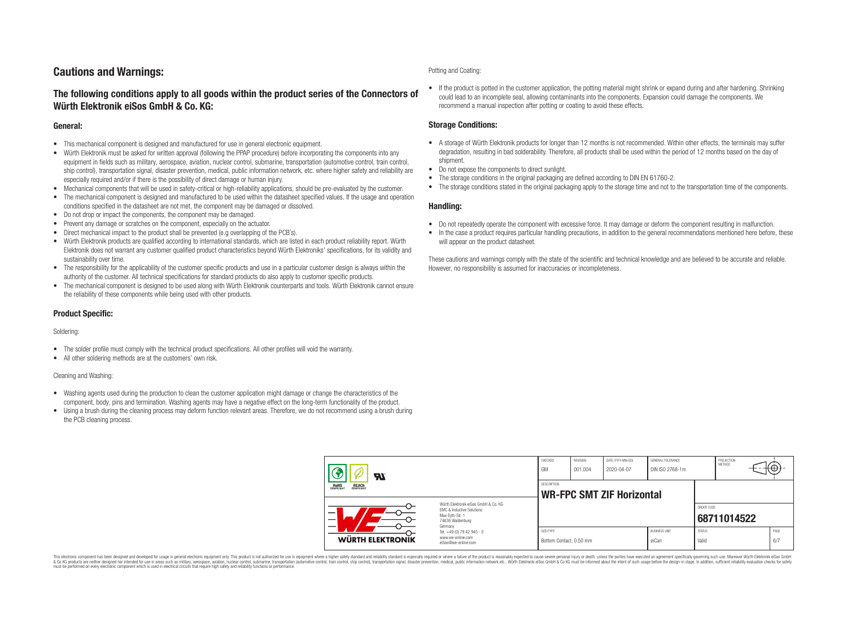## **Cautions and Warnings:**

### **The following conditions apply to all goods within the product series of the Connectors of Würth Elektronik eiSos GmbH & Co. KG:**

### **General:**

- This mechanical component is designed and manufactured for use in general electronic equipment.
- Würth Elektronik must be asked for written approval (following the PPAP procedure) before incorporating the components into any equipment in fields such as military, aerospace, aviation, nuclear control, submarine, transportation (automotive control, train control, ship control), transportation signal, disaster prevention, medical, public information network, etc. where higher safety and reliability are especially required and/or if there is the possibility of direct damage or human injury.
- Mechanical components that will be used in safety-critical or high-reliability applications, should be pre-evaluated by the customer.
- The mechanical component is designed and manufactured to be used within the datasheet specified values. If the usage and operation conditions specified in the datasheet are not met, the component may be damaged or dissolved.
- Do not drop or impact the components, the component may be damaged.
- Prevent any damage or scratches on the component, especially on the actuator.
- Direct mechanical impact to the product shall be prevented (e.g overlapping of the PCB's).
- Würth Elektronik products are qualified according to international standards, which are listed in each product reliability report. Würth Elektronik does not warrant any customer qualified product characteristics beyond Würth Elektroniks' specifications, for its validity and sustainability over time.
- The responsibility for the applicability of the customer specific products and use in a particular customer design is always within the authority of the customer. All technical specifications for standard products do also apply to customer specific products.
- The mechanical component is designed to be used along with Würth Elektronik counterparts and tools. Würth Elektronik cannot ensure the reliability of these components while being used with other products.

### **Product Specific:**

#### Soldering:

- The solder profile must comply with the technical product specifications. All other profiles will void the warranty.
- All other soldering methods are at the customers' own risk.

#### Cleaning and Washing:

- Washing agents used during the production to clean the customer application might damage or change the characteristics of the component, body, pins and termination. Washing agents may have a negative effect on the long-term functionality of the product.
- Using a brush during the cleaning process may deform function relevant areas. Therefore, we do not recommend using a brush during the PCB cleaning process.

#### Potting and Coating:

• If the product is potted in the customer application, the potting material might shrink or expand during and after hardening. Shrinking could lead to an incomplete seal, allowing contaminants into the components. Expansion could damage the components. We recommend a manual inspection after potting or coating to avoid these effects.

### **Storage Conditions:**

- A storage of Würth Elektronik products for longer than 12 months is not recommended. Within other effects, the terminals may suffer degradation, resulting in bad solderability. Therefore, all products shall be used within the period of 12 months based on the day of shipment.
- Do not expose the components to direct sunlight.
- The storage conditions in the original packaging are defined according to DIN EN 61760-2.
- The storage conditions stated in the original packaging apply to the storage time and not to the transportation time of the components.

### **Handling:**

- Do not repeatedly operate the component with excessive force. It may damage or deform the component resulting in malfunction.
- In the case a product requires particular handling precautions, in addition to the general recommendations mentioned here before, these will appear on the product datasheet.

These cautions and warnings comply with the state of the scientific and technical knowledge and are believed to be accurate and reliable. However, no responsibility is assumed for inaccuracies or incompleteness.

| Hī<br>ROHS<br>COMPLIANT<br><b>REACH</b><br>COMPLIANT<br>Würth Flektronik eiSos GmbH & Co. KG<br>FMC & Inductive Solutions<br>-<br>Max-Eyth-Str. 1<br>74638 Waldenburg<br>Germany |                                                                        | CHECKED<br>GM                                          | <b>REVISION</b><br>001.004 | DATE (YYYY-MM-DD)<br>2020-04-07 | GENERAL TOLERANCE<br>DIN ISO 2768-1m |                        | PROJECTION<br><b>METHOD</b> |  | ₩           |
|----------------------------------------------------------------------------------------------------------------------------------------------------------------------------------|------------------------------------------------------------------------|--------------------------------------------------------|----------------------------|---------------------------------|--------------------------------------|------------------------|-----------------------------|--|-------------|
|                                                                                                                                                                                  |                                                                        | <b>DESCRIPTION</b><br><b>WR-FPC SMT ZIF Horizontal</b> |                            |                                 |                                      |                        |                             |  |             |
|                                                                                                                                                                                  |                                                                        |                                                        |                            |                                 |                                      | ORDER CODE             | 68711014522                 |  |             |
| WÜRTH ELEKTRONIK                                                                                                                                                                 | Tel. +49 (0) 79 42 945 - 0<br>www.we-online.com<br>eiSos@we-online.com | SIZE/TYPE<br>Bottom Contact, 0.50 mm                   |                            |                                 | <b>BUSINESS UNIT</b><br>eiCan        | <b>STATUS</b><br>Valid |                             |  | PAGE<br>6/7 |

This electronic component has been designed and developed for usage in general electronic equipment only. This product is not authorized for use in equipment where a higher safety standard and reliability standard si espec & Ook product a label and the membed of the seasuch as marked and as which such a membed and the such assume that income in the seasuch and the simulation and the such assume that include to the such a membed and the such